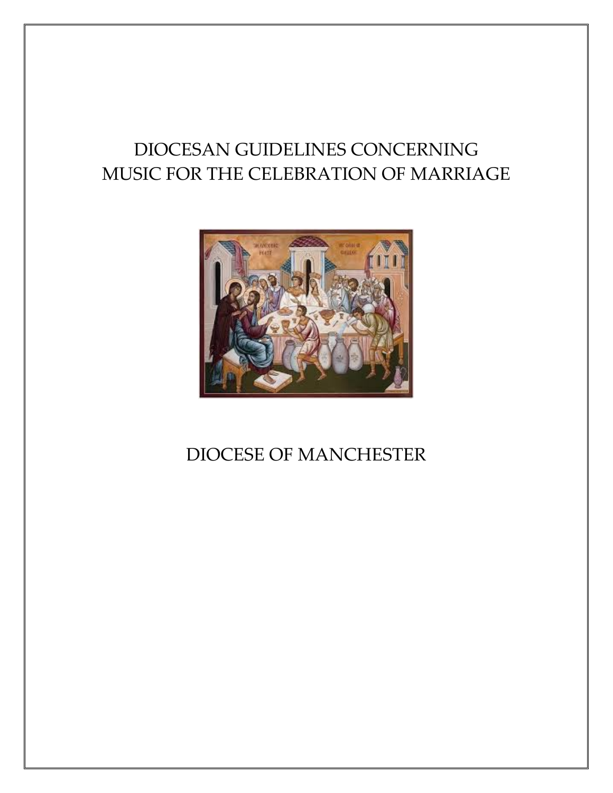# DIOCESAN GUIDELINES CONCERNING MUSIC FOR THE CELEBRATION OF MARRIAGE



## DIOCESE OF MANCHESTER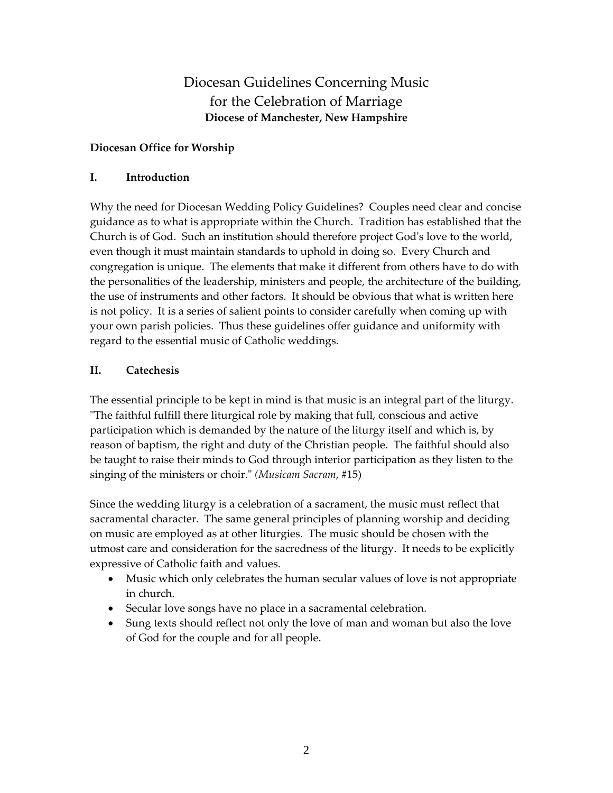## Diocesan Guidelines Concerning Music for the Celebration of Marriage **Diocese of Manchester, New Hampshire**

### **Diocesan Office for Worship**

#### **I. Introduction**

Why the need for Diocesan Wedding Policy Guidelines? Couples need clear and concise guidance as to what is appropriate within the Church. Tradition has established that the Church is of God. Such an institution should therefore project Godʹs love to the world, even though it must maintain standards to uphold in doing so. Every Church and congregation is unique. The elements that make it different from others have to do with the personalities of the leadership, ministers and people, the architecture of the building, the use of instruments and other factors. It should be obvious that what is written here is not policy. It is a series of salient points to consider carefully when coming up with your own parish policies. Thus these guidelines offer guidance and uniformity with regard to the essential music of Catholic weddings.

### **II. Catechesis**

The essential principle to be kept in mind is that music is an integral part of the liturgy. ʺThe faithful fulfill there liturgical role by making that full, conscious and active participation which is demanded by the nature of the liturgy itself and which is, by reason of baptism, the right and duty of the Christian people. The faithful should also be taught to raise their minds to God through interior participation as they listen to the singing of the ministers or choir." *(Musicam Sacram,* #15)

Since the wedding liturgy is a celebration of a sacrament, the music must reflect that sacramental character. The same general principles of planning worship and deciding on music are employed as at other liturgies. The music should be chosen with the utmost care and consideration for the sacredness of the liturgy. It needs to be explicitly expressive of Catholic faith and values.

- Music which only celebrates the human secular values of love is not appropriate in church.
- Secular love songs have no place in a sacramental celebration.
- Sung texts should reflect not only the love of man and woman but also the love of God for the couple and for all people.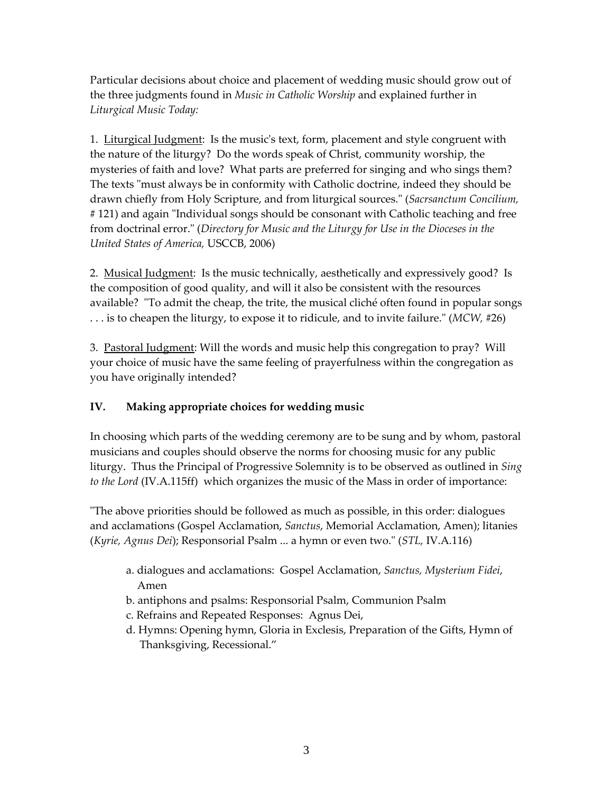Particular decisions about choice and placement of wedding music should grow out of the three judgments found in *Music in Catholic Worship* and explained further in *Liturgical Music Today:*

1. Liturgical Judgment: Is the musicʹs text, form, placement and style congruent with the nature of the liturgy? Do the words speak of Christ, community worship, the mysteries of faith and love? What parts are preferred for singing and who sings them? The texts "must always be in conformity with Catholic doctrine, indeed they should be drawn chiefly from Holy Scripture, and from liturgical sources.ʺ (*Sacrsanctum Concilium,* # 121) and again "Individual songs should be consonant with Catholic teaching and free from doctrinal error.ʺ (*Directory for Music and the Liturgy for Use in the Dioceses in the United States of America,* USCCB, 2006)

2. Musical Judgment: Is the music technically, aesthetically and expressively good? Is the composition of good quality, and will it also be consistent with the resources available? "To admit the cheap, the trite, the musical cliché often found in popular songs ... is to cheapen the liturgy, to expose it to ridicule, and to invite failure." (*MCW*, #26)

3. Pastoral Judgment: Will the words and music help this congregation to pray? Will your choice of music have the same feeling of prayerfulness within the congregation as you have originally intended?

### **IV. Making appropriate choices for wedding music**

In choosing which parts of the wedding ceremony are to be sung and by whom, pastoral musicians and couples should observe the norms for choosing music for any public liturgy. Thus the Principal of Progressive Solemnity is to be observed as outlined in *Sing to the Lord* (IV.A.115ff) which organizes the music of the Mass in order of importance:

ʺThe above priorities should be followed as much as possible, in this order: dialogues and acclamations (Gospel Acclamation, *Sanctus*, Memorial Acclamation, Amen); litanies (*Kyrie, Agnus Dei*); Responsorial Psalm ... a hymn or even two.ʺ (*STL,* IV.A.116)

- a. dialogues and acclamations: Gospel Acclamation, *Sanctus, Mysterium Fidei*, Amen
- b. antiphons and psalms: Responsorial Psalm, Communion Psalm
- c. Refrains and Repeated Responses: Agnus Dei,
- d. Hymns: Opening hymn, Gloria in Exclesis, Preparation of the Gifts, Hymn of Thanksgiving, Recessional."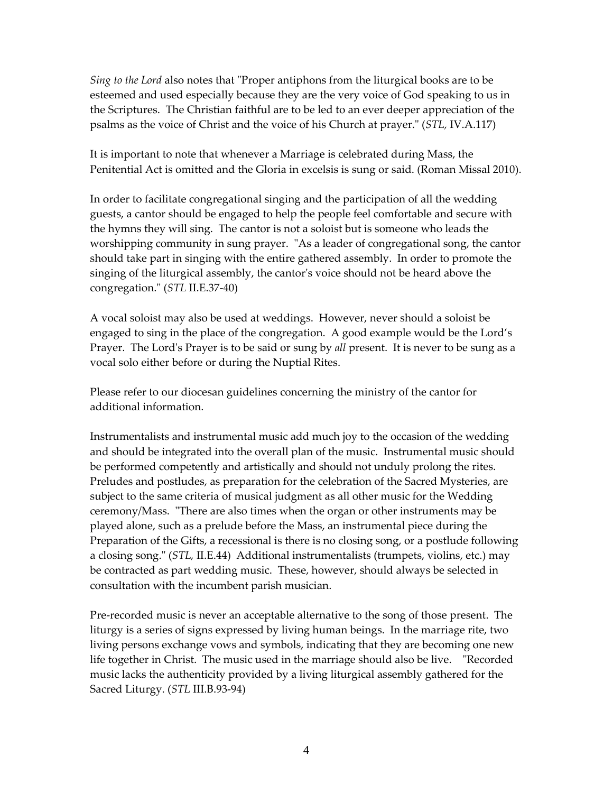*Sing to the Lord* also notes that "Proper antiphons from the liturgical books are to be esteemed and used especially because they are the very voice of God speaking to us in the Scriptures. The Christian faithful are to be led to an ever deeper appreciation of the psalms as the voice of Christ and the voice of his Church at prayer.<sup>"</sup> (*STL*, IV.A.117)

It is important to note that whenever a Marriage is celebrated during Mass, the Penitential Act is omitted and the Gloria in excelsis is sung or said. (Roman Missal 2010).

In order to facilitate congregational singing and the participation of all the wedding guests, a cantor should be engaged to help the people feel comfortable and secure with the hymns they will sing. The cantor is not a soloist but is someone who leads the worshipping community in sung prayer. "As a leader of congregational song, the cantor should take part in singing with the entire gathered assembly. In order to promote the singing of the liturgical assembly, the cantor's voice should not be heard above the congregation.ʺ (*STL* II.E.37‐40)

A vocal soloist may also be used at weddings. However, never should a soloist be engaged to sing in the place of the congregation. A good example would be the Lord's Prayer. The Lord's Prayer is to be said or sung by *all* present. It is never to be sung as a vocal solo either before or during the Nuptial Rites.

Please refer to our diocesan guidelines concerning the ministry of the cantor for additional information.

Instrumentalists and instrumental music add much joy to the occasion of the wedding and should be integrated into the overall plan of the music. Instrumental music should be performed competently and artistically and should not unduly prolong the rites. Preludes and postludes, as preparation for the celebration of the Sacred Mysteries, are subject to the same criteria of musical judgment as all other music for the Wedding ceremony/Mass. "There are also times when the organ or other instruments may be played alone, such as a prelude before the Mass, an instrumental piece during the Preparation of the Gifts, a recessional is there is no closing song, or a postlude following a closing song." (*STL*, II.E.44) Additional instrumentalists (trumpets, violins, etc.) may be contracted as part wedding music. These, however, should always be selected in consultation with the incumbent parish musician.

Pre‐recorded music is never an acceptable alternative to the song of those present. The liturgy is a series of signs expressed by living human beings. In the marriage rite, two living persons exchange vows and symbols, indicating that they are becoming one new life together in Christ. The music used in the marriage should also be live. ʺRecorded music lacks the authenticity provided by a living liturgical assembly gathered for the Sacred Liturgy. (*STL* III.B.93‐94)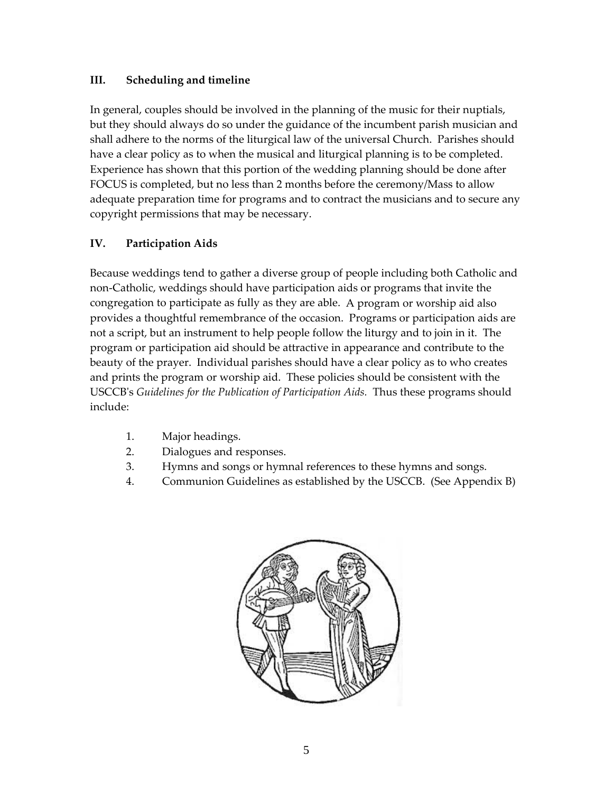### **III. Scheduling and timeline**

In general, couples should be involved in the planning of the music for their nuptials, but they should always do so under the guidance of the incumbent parish musician and shall adhere to the norms of the liturgical law of the universal Church. Parishes should have a clear policy as to when the musical and liturgical planning is to be completed. Experience has shown that this portion of the wedding planning should be done after FOCUS is completed, but no less than 2 months before the ceremony/Mass to allow adequate preparation time for programs and to contract the musicians and to secure any copyright permissions that may be necessary.

## **IV. Participation Aids**

Because weddings tend to gather a diverse group of people including both Catholic and non‐Catholic, weddings should have participation aids or programs that invite the congregation to participate as fully as they are able. A program or worship aid also provides a thoughtful remembrance of the occasion. Programs or participation aids are not a script, but an instrument to help people follow the liturgy and to join in it. The program or participation aid should be attractive in appearance and contribute to the beauty of the prayer. Individual parishes should have a clear policy as to who creates and prints the program or worship aid. These policies should be consistent with the USCCBʹs *Guidelines for the Publication of Participation Aids.* Thus these programs should include:

- 1. Major headings.
- 2. Dialogues and responses.
- 3. Hymns and songs or hymnal references to these hymns and songs.
- 4. Communion Guidelines as established by the USCCB. (See Appendix B)

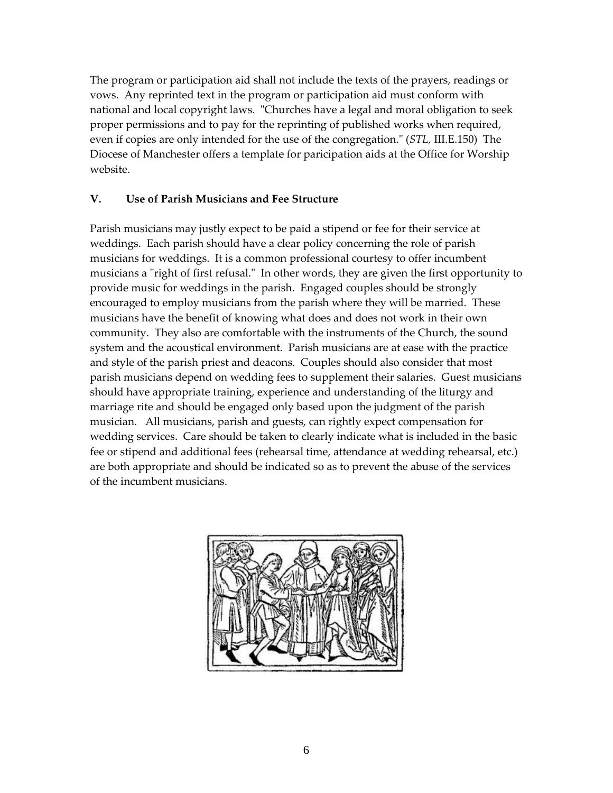The program or participation aid shall not include the texts of the prayers, readings or vows. Any reprinted text in the program or participation aid must conform with national and local copyright laws. "Churches have a legal and moral obligation to seek proper permissions and to pay for the reprinting of published works when required, even if copies are only intended for the use of the congregation.ʺ (*STL,* III.E.150) The Diocese of Manchester offers a template for paricipation aids at the Office for Worship website.

### **V. Use of Parish Musicians and Fee Structure**

Parish musicians may justly expect to be paid a stipend or fee for their service at weddings. Each parish should have a clear policy concerning the role of parish musicians for weddings. It is a common professional courtesy to offer incumbent musicians a "right of first refusal." In other words, they are given the first opportunity to provide music for weddings in the parish. Engaged couples should be strongly encouraged to employ musicians from the parish where they will be married. These musicians have the benefit of knowing what does and does not work in their own community. They also are comfortable with the instruments of the Church, the sound system and the acoustical environment. Parish musicians are at ease with the practice and style of the parish priest and deacons. Couples should also consider that most parish musicians depend on wedding fees to supplement their salaries. Guest musicians should have appropriate training, experience and understanding of the liturgy and marriage rite and should be engaged only based upon the judgment of the parish musician. All musicians, parish and guests, can rightly expect compensation for wedding services. Care should be taken to clearly indicate what is included in the basic fee or stipend and additional fees (rehearsal time, attendance at wedding rehearsal, etc.) are both appropriate and should be indicated so as to prevent the abuse of the services of the incumbent musicians.

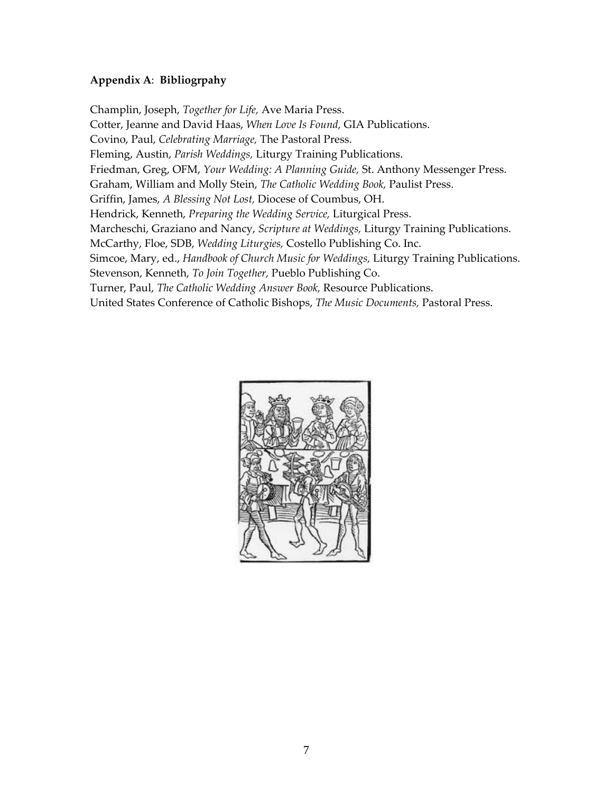#### **Appendix A**: **Bibliogrpahy**

Champlin, Joseph, *Together for Life,* Ave Maria Press. Cotter, Jeanne and David Haas, *When Love Is Found,* GIA Publications. Covino, Paul, *Celebrating Marriage,* The Pastoral Press. Fleming, Austin, *Parish Weddings,* Liturgy Training Publications. Friedman, Greg, OFM, *Your Wedding: A Planning Guide,* St. Anthony Messenger Press. Graham, William and Molly Stein, *The Catholic Wedding Book,* Paulist Press. Griffin, James, *A Blessing Not Lost,* Diocese of Coumbus, OH. Hendrick, Kenneth, *Preparing the Wedding Service,* Liturgical Press. Marcheschi, Graziano and Nancy, *Scripture at Weddings,* Liturgy Training Publications. McCarthy, Floe, SDB, *Wedding Liturgies,* Costello Publishing Co. Inc. Simcoe, Mary, ed., *Handbook of Church Music for Weddings,* Liturgy Training Publications. Stevenson, Kenneth, *To Join Together,* Pueblo Publishing Co. Turner, Paul, *The Catholic Wedding Answer Book,* Resource Publications. United States Conference of Catholic Bishops, *The Music Documents,* Pastoral Press.

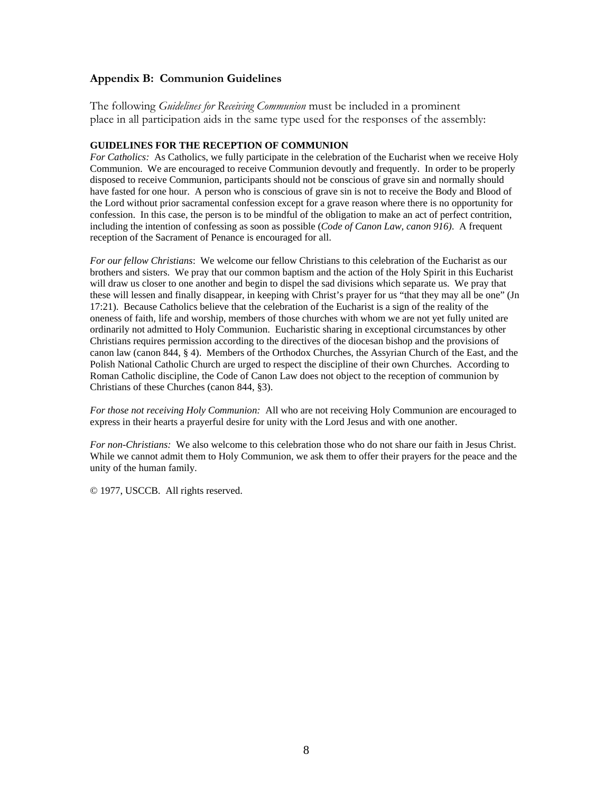#### **Appendix B: Communion Guidelines**

The following *Guidelines for Receiving Communion* must be included in a prominent place in all participation aids in the same type used for the responses of the assembly:

#### **GUIDELINES FOR THE RECEPTION OF COMMUNION**

*For Catholics:* As Catholics, we fully participate in the celebration of the Eucharist when we receive Holy Communion. We are encouraged to receive Communion devoutly and frequently. In order to be properly disposed to receive Communion, participants should not be conscious of grave sin and normally should have fasted for one hour. A person who is conscious of grave sin is not to receive the Body and Blood of the Lord without prior sacramental confession except for a grave reason where there is no opportunity for confession. In this case, the person is to be mindful of the obligation to make an act of perfect contrition, including the intention of confessing as soon as possible (*Code of Canon Law, canon 916)*. A frequent reception of the Sacrament of Penance is encouraged for all.

*For our fellow Christians*: We welcome our fellow Christians to this celebration of the Eucharist as our brothers and sisters. We pray that our common baptism and the action of the Holy Spirit in this Eucharist will draw us closer to one another and begin to dispel the sad divisions which separate us. We pray that these will lessen and finally disappear, in keeping with Christ's prayer for us "that they may all be one" (Jn 17:21). Because Catholics believe that the celebration of the Eucharist is a sign of the reality of the oneness of faith, life and worship, members of those churches with whom we are not yet fully united are ordinarily not admitted to Holy Communion. Eucharistic sharing in exceptional circumstances by other Christians requires permission according to the directives of the diocesan bishop and the provisions of canon law (canon 844, § 4). Members of the Orthodox Churches, the Assyrian Church of the East, and the Polish National Catholic Church are urged to respect the discipline of their own Churches. According to Roman Catholic discipline, the Code of Canon Law does not object to the reception of communion by Christians of these Churches (canon 844, §3).

*For those not receiving Holy Communion:* All who are not receiving Holy Communion are encouraged to express in their hearts a prayerful desire for unity with the Lord Jesus and with one another.

*For non-Christians:* We also welcome to this celebration those who do not share our faith in Jesus Christ. While we cannot admit them to Holy Communion, we ask them to offer their prayers for the peace and the unity of the human family.

© 1977, USCCB. All rights reserved.